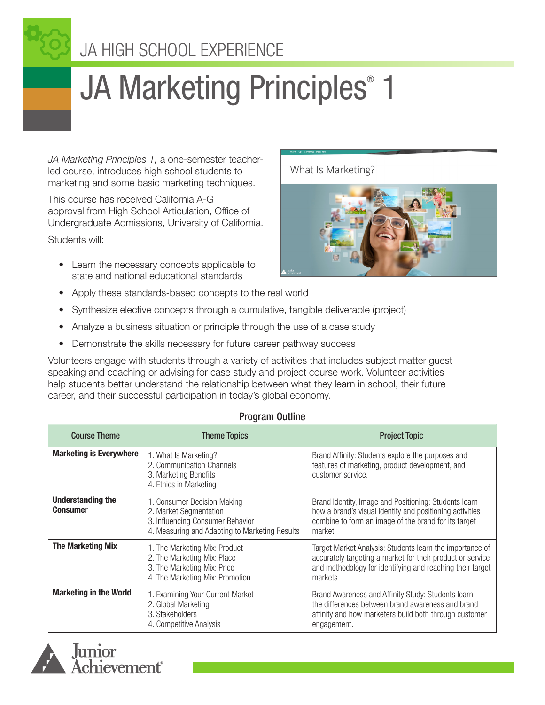# JA HIGH SCHOOL EXPERIENCE

# JA Marketing Principles<sup>®</sup> 1

*JA Marketing Principles 1,* a one-semester teacherled course, introduces high school students to marketing and some basic marketing techniques.

This course has received California A-G approval from High School Articulation, Office of Undergraduate Admissions, University of California.

Students will:

• Learn the necessary concepts applicable to state and national educational standards





- Apply these standards-based concepts to the real world
- Synthesize elective concepts through a cumulative, tangible deliverable (project)
- Analyze a business situation or principle through the use of a case study
- Demonstrate the skills necessary for future career pathway success

Volunteers engage with students through a variety of activities that includes subject matter guest speaking and coaching or advising for case study and project course work. Volunteer activities help students better understand the relationship between what they learn in school, their future career, and their successful participation in today's global economy.

#### Program Outline

| <b>Course Theme</b>                         | <b>Theme Topics</b>                                                                                                                         | <b>Project Topic</b>                                                                                                                                                                            |
|---------------------------------------------|---------------------------------------------------------------------------------------------------------------------------------------------|-------------------------------------------------------------------------------------------------------------------------------------------------------------------------------------------------|
| <b>Marketing is Everywhere</b>              | 1. What Is Marketing?<br>2. Communication Channels<br>3. Marketing Benefits<br>4. Ethics in Marketing                                       | Brand Affinity: Students explore the purposes and<br>features of marketing, product development, and<br>customer service.                                                                       |
| <b>Understanding the</b><br><b>Consumer</b> | 1. Consumer Decision Making<br>2. Market Segmentation<br>3. Influencing Consumer Behavior<br>4. Measuring and Adapting to Marketing Results | Brand Identity, Image and Positioning: Students learn<br>how a brand's visual identity and positioning activities<br>combine to form an image of the brand for its target<br>market.            |
| <b>The Marketing Mix</b>                    | 1. The Marketing Mix: Product<br>2. The Marketing Mix: Place<br>3. The Marketing Mix: Price<br>4. The Marketing Mix: Promotion              | Target Market Analysis: Students learn the importance of<br>accurately targeting a market for their product or service<br>and methodology for identifying and reaching their target<br>markets. |
| <b>Marketing in the World</b>               | 1. Examining Your Current Market<br>2. Global Marketing<br>3. Stakeholders<br>4. Competitive Analysis                                       | Brand Awareness and Affinity Study: Students learn<br>the differences between brand awareness and brand<br>affinity and how marketers build both through customer<br>engagement.                |

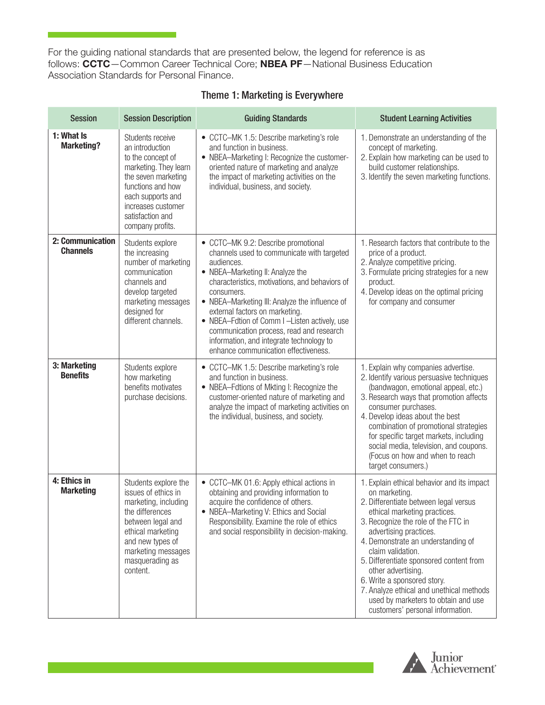For the guiding national standards that are presented below, the legend for reference is as follows: CCTC—Common Career Technical Core; NBEA PF—National Business Education Association Standards for Personal Finance.

| <b>Session</b>                      | <b>Session Description</b>                                                                                                                                                                                       | <b>Guiding Standards</b>                                                                                                                                                                                                                                                                                                                                                                                                                                                | <b>Student Learning Activities</b>                                                                                                                                                                                                                                                                                                                                                                                                                                                      |
|-------------------------------------|------------------------------------------------------------------------------------------------------------------------------------------------------------------------------------------------------------------|-------------------------------------------------------------------------------------------------------------------------------------------------------------------------------------------------------------------------------------------------------------------------------------------------------------------------------------------------------------------------------------------------------------------------------------------------------------------------|-----------------------------------------------------------------------------------------------------------------------------------------------------------------------------------------------------------------------------------------------------------------------------------------------------------------------------------------------------------------------------------------------------------------------------------------------------------------------------------------|
| 1: What Is<br><b>Marketing?</b>     | Students receive<br>an introduction<br>to the concept of<br>marketing. They learn<br>the seven marketing<br>functions and how<br>each supports and<br>increases customer<br>satisfaction and<br>company profits. | • CCTC-MK 1.5: Describe marketing's role<br>and function in business.<br>• NBEA-Marketing I: Recognize the customer-<br>oriented nature of marketing and analyze<br>the impact of marketing activities on the<br>individual, business, and society.                                                                                                                                                                                                                     | 1. Demonstrate an understanding of the<br>concept of marketing.<br>2. Explain how marketing can be used to<br>build customer relationships.<br>3. Identify the seven marketing functions.                                                                                                                                                                                                                                                                                               |
| 2: Communication<br><b>Channels</b> | Students explore<br>the increasing<br>number of marketing<br>communication<br>channels and<br>develop targeted<br>marketing messages<br>designed for<br>different channels.                                      | • CCTC-MK 9.2: Describe promotional<br>channels used to communicate with targeted<br>audiences.<br>• NBEA-Marketing II: Analyze the<br>characteristics, motivations, and behaviors of<br>consumers.<br>• NBEA-Marketing III: Analyze the influence of<br>external factors on marketing.<br>• NBEA-Fdtion of Comm I-Listen actively, use<br>communication process, read and research<br>information, and integrate technology to<br>enhance communication effectiveness. | 1. Research factors that contribute to the<br>price of a product.<br>2. Analyze competitive pricing.<br>3. Formulate pricing strategies for a new<br>product.<br>4. Develop ideas on the optimal pricing<br>for company and consumer                                                                                                                                                                                                                                                    |
| 3: Marketing<br><b>Benefits</b>     | Students explore<br>how marketing<br>benefits motivates<br>purchase decisions.                                                                                                                                   | • CCTC-MK 1.5: Describe marketing's role<br>and function in business.<br>• NBEA-Fdtions of Mkting I: Recognize the<br>customer-oriented nature of marketing and<br>analyze the impact of marketing activities on<br>the individual, business, and society.                                                                                                                                                                                                              | 1. Explain why companies advertise.<br>2. Identify various persuasive techniques<br>(bandwagon, emotional appeal, etc.)<br>3. Research ways that promotion affects<br>consumer purchases.<br>4. Develop ideas about the best<br>combination of promotional strategies<br>for specific target markets, including<br>social media, television, and coupons.<br>(Focus on how and when to reach<br>target consumers.)                                                                      |
| 4: Ethics in<br><b>Marketing</b>    | Students explore the<br>issues of ethics in<br>marketing, including<br>the differences<br>between legal and<br>ethical marketing<br>and new types of<br>marketing messages<br>masquerading as<br>content.        | • CCTC-MK 01.6: Apply ethical actions in<br>obtaining and providing information to<br>acquire the confidence of others.<br>• NBEA-Marketing V: Ethics and Social<br>Responsibility. Examine the role of ethics<br>and social responsibility in decision-making.                                                                                                                                                                                                         | 1. Explain ethical behavior and its impact<br>on marketing.<br>2. Differentiate between legal versus<br>ethical marketing practices.<br>3. Recognize the role of the FTC in<br>advertising practices.<br>4. Demonstrate an understanding of<br>claim validation.<br>5. Differentiate sponsored content from<br>other advertising.<br>6. Write a sponsored story.<br>7. Analyze ethical and unethical methods<br>used by marketers to obtain and use<br>customers' personal information. |

#### Theme 1: Marketing is Everywhere

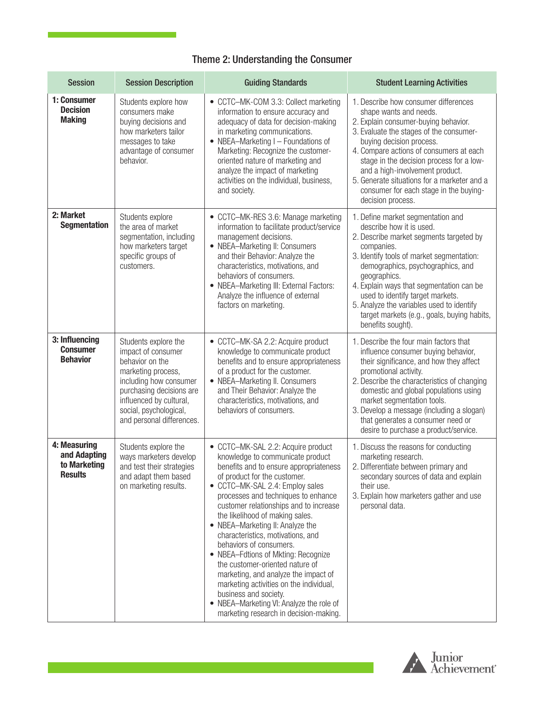## Theme 2: Understanding the Consumer

| <b>Session</b>                                                 | <b>Session Description</b>                                                                                                                                                                                                  | <b>Guiding Standards</b>                                                                                                                                                                                                                                                                                                                                                                                                                                                                                                                                                                                                                                                                | <b>Student Learning Activities</b>                                                                                                                                                                                                                                                                                                                                                                                        |
|----------------------------------------------------------------|-----------------------------------------------------------------------------------------------------------------------------------------------------------------------------------------------------------------------------|-----------------------------------------------------------------------------------------------------------------------------------------------------------------------------------------------------------------------------------------------------------------------------------------------------------------------------------------------------------------------------------------------------------------------------------------------------------------------------------------------------------------------------------------------------------------------------------------------------------------------------------------------------------------------------------------|---------------------------------------------------------------------------------------------------------------------------------------------------------------------------------------------------------------------------------------------------------------------------------------------------------------------------------------------------------------------------------------------------------------------------|
| 1: Consumer<br><b>Decision</b><br><b>Making</b>                | Students explore how<br>consumers make<br>buying decisions and<br>how marketers tailor<br>messages to take<br>advantage of consumer<br>behavior.                                                                            | • CCTC-MK-COM 3.3: Collect marketing<br>information to ensure accuracy and<br>adequacy of data for decision-making<br>in marketing communications.<br>• NBEA-Marketing I - Foundations of<br>Marketing: Recognize the customer-<br>oriented nature of marketing and<br>analyze the impact of marketing<br>activities on the individual, business,<br>and society.                                                                                                                                                                                                                                                                                                                       | 1. Describe how consumer differences<br>shape wants and needs.<br>2. Explain consumer-buying behavior.<br>3. Evaluate the stages of the consumer-<br>buying decision process.<br>4. Compare actions of consumers at each<br>stage in the decision process for a low-<br>and a high-involvement product.<br>5. Generate situations for a marketer and a<br>consumer for each stage in the buying-<br>decision process.     |
| 2: Market<br><b>Segmentation</b>                               | Students explore<br>the area of market<br>segmentation, including<br>how marketers target<br>specific groups of<br>customers.                                                                                               | • CCTC-MK-RES 3.6: Manage marketing<br>information to facilitate product/service<br>management decisions.<br>• NBEA-Marketing II: Consumers<br>and their Behavior: Analyze the<br>characteristics, motivations, and<br>behaviors of consumers.<br>• NBEA-Marketing III: External Factors:<br>Analyze the influence of external<br>factors on marketing.                                                                                                                                                                                                                                                                                                                                 | 1. Define market segmentation and<br>describe how it is used.<br>2. Describe market segments targeted by<br>companies.<br>3. Identify tools of market segmentation:<br>demographics, psychographics, and<br>geographics.<br>4. Explain ways that segmentation can be<br>used to identify target markets.<br>5. Analyze the variables used to identify<br>target markets (e.g., goals, buying habits,<br>benefits sought). |
| 3: Influencing<br><b>Consumer</b><br><b>Behavior</b>           | Students explore the<br>impact of consumer<br>behavior on the<br>marketing process,<br>including how consumer<br>purchasing decisions are<br>influenced by cultural,<br>social, psychological,<br>and personal differences. | • CCTC-MK-SA 2.2: Acquire product<br>knowledge to communicate product<br>benefits and to ensure appropriateness<br>of a product for the customer.<br>• NBEA-Marketing II. Consumers<br>and Their Behavior: Analyze the<br>characteristics, motivations, and<br>behaviors of consumers.                                                                                                                                                                                                                                                                                                                                                                                                  | 1. Describe the four main factors that<br>influence consumer buying behavior,<br>their significance, and how they affect<br>promotional activity.<br>2. Describe the characteristics of changing<br>domestic and global populations using<br>market segmentation tools.<br>3. Develop a message (including a slogan)<br>that generates a consumer need or<br>desire to purchase a product/service.                        |
| 4: Measuring<br>and Adapting<br>to Marketing<br><b>Results</b> | Students explore the<br>ways marketers develop<br>and test their strategies<br>and adapt them based<br>on marketing results.                                                                                                | • CCTC-MK-SAL 2.2: Acquire product<br>knowledge to communicate product<br>benefits and to ensure appropriateness<br>of product for the customer.<br>• CCTC-MK-SAL 2.4: Employ sales<br>processes and techniques to enhance<br>customer relationships and to increase<br>the likelihood of making sales.<br>• NBEA-Marketing II: Analyze the<br>characteristics, motivations, and<br>behaviors of consumers.<br>• NBEA-Fdtions of Mkting: Recognize<br>the customer-oriented nature of<br>marketing, and analyze the impact of<br>marketing activities on the individual,<br>business and society.<br>• NBEA-Marketing VI: Analyze the role of<br>marketing research in decision-making. | 1. Discuss the reasons for conducting<br>marketing research.<br>2. Differentiate between primary and<br>secondary sources of data and explain<br>their use.<br>3. Explain how marketers gather and use<br>personal data.                                                                                                                                                                                                  |

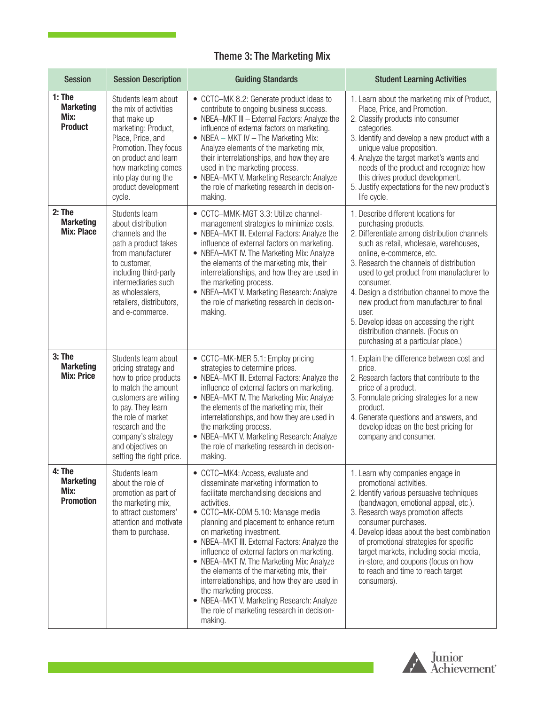# Theme 3: The Marketing Mix

| <b>Session</b>                                         | <b>Session Description</b>                                                                                                                                                                                                                                   | <b>Guiding Standards</b>                                                                                                                                                                                                                                                                                                                                                                                                                                                                                                                                                                                                | <b>Student Learning Activities</b>                                                                                                                                                                                                                                                                                                                                                                                                                                                                             |
|--------------------------------------------------------|--------------------------------------------------------------------------------------------------------------------------------------------------------------------------------------------------------------------------------------------------------------|-------------------------------------------------------------------------------------------------------------------------------------------------------------------------------------------------------------------------------------------------------------------------------------------------------------------------------------------------------------------------------------------------------------------------------------------------------------------------------------------------------------------------------------------------------------------------------------------------------------------------|----------------------------------------------------------------------------------------------------------------------------------------------------------------------------------------------------------------------------------------------------------------------------------------------------------------------------------------------------------------------------------------------------------------------------------------------------------------------------------------------------------------|
| $1:$ The<br><b>Marketing</b><br>Mix:<br><b>Product</b> | Students learn about<br>the mix of activities<br>that make up<br>marketing: Product,<br>Place, Price, and<br>Promotion. They focus<br>on product and learn<br>how marketing comes<br>into play during the<br>product development<br>cycle.                   | • CCTC-MK 8.2: Generate product ideas to<br>contribute to ongoing business success.<br>• NBEA-MKT III - External Factors: Analyze the<br>influence of external factors on marketing.<br>• NBEA - MKT IV - The Marketing Mix:<br>Analyze elements of the marketing mix,<br>their interrelationships, and how they are<br>used in the marketing process.<br>• NBEA-MKT V. Marketing Research: Analyze<br>the role of marketing research in decision-<br>making.                                                                                                                                                           | 1. Learn about the marketing mix of Product,<br>Place, Price, and Promotion.<br>2. Classify products into consumer<br>categories.<br>3. Identify and develop a new product with a<br>unique value proposition.<br>4. Analyze the target market's wants and<br>needs of the product and recognize how<br>this drives product development.<br>5. Justify expectations for the new product's<br>life cycle.                                                                                                       |
| $2:$ The<br><b>Marketing</b><br><b>Mix: Place</b>      | Students learn<br>about distribution<br>channels and the<br>path a product takes<br>from manufacturer<br>to customer,<br>including third-party<br>intermediaries such<br>as wholesalers,<br>retailers, distributors,<br>and e-commerce.                      | • CCTC-MMK-MGT 3.3: Utilize channel-<br>management strategies to minimize costs.<br>• NBEA-MKT III. External Factors: Analyze the<br>influence of external factors on marketing.<br>• NBEA-MKT IV. The Marketing Mix: Analyze<br>the elements of the marketing mix, their<br>interrelationships, and how they are used in<br>the marketing process.<br>• NBEA-MKT V. Marketing Research: Analyze<br>the role of marketing research in decision-<br>making.                                                                                                                                                              | 1. Describe different locations for<br>purchasing products.<br>2. Differentiate among distribution channels<br>such as retail, wholesale, warehouses,<br>online, e-commerce, etc.<br>3. Research the channels of distribution<br>used to get product from manufacturer to<br>consumer.<br>4. Design a distribution channel to move the<br>new product from manufacturer to final<br>user.<br>5. Develop ideas on accessing the right<br>distribution channels. (Focus on<br>purchasing at a particular place.) |
| $3:$ The<br><b>Marketing</b><br><b>Mix: Price</b>      | Students learn about<br>pricing strategy and<br>how to price products<br>to match the amount<br>customers are willing<br>to pay. They learn<br>the role of market<br>research and the<br>company's strategy<br>and objectives on<br>setting the right price. | • CCTC-MK-MER 5.1: Employ pricing<br>strategies to determine prices.<br>• NBEA-MKT III. External Factors: Analyze the<br>influence of external factors on marketing.<br>• NBEA-MKT IV. The Marketing Mix: Analyze<br>the elements of the marketing mix, their<br>interrelationships, and how they are used in<br>the marketing process.<br>• NBEA-MKT V. Marketing Research: Analyze<br>the role of marketing research in decision-<br>making.                                                                                                                                                                          | 1. Explain the difference between cost and<br>price.<br>2. Research factors that contribute to the<br>price of a product.<br>3. Formulate pricing strategies for a new<br>product.<br>4. Generate questions and answers, and<br>develop ideas on the best pricing for<br>company and consumer.                                                                                                                                                                                                                 |
| 4: The<br><b>Marketing</b><br>Mix:<br><b>Promotion</b> | Students learn<br>about the role of<br>promotion as part of<br>the marketing mix,<br>to attract customers'<br>attention and motivate<br>them to purchase.                                                                                                    | • CCTC-MK4: Access, evaluate and<br>disseminate marketing information to<br>facilitate merchandising decisions and<br>activities.<br>• CCTC-MK-COM 5.10: Manage media<br>planning and placement to enhance return<br>on marketing investment.<br>• NBEA-MKT III. External Factors: Analyze the<br>influence of external factors on marketing.<br>• NBEA-MKT IV. The Marketing Mix: Analyze<br>the elements of the marketing mix, their<br>interrelationships, and how they are used in<br>the marketing process.<br>• NBEA-MKT V. Marketing Research: Analyze<br>the role of marketing research in decision-<br>making. | 1. Learn why companies engage in<br>promotional activities.<br>2. Identify various persuasive techniques<br>(bandwagon, emotional appeal, etc.).<br>3. Research ways promotion affects<br>consumer purchases.<br>4. Develop ideas about the best combination<br>of promotional strategies for specific<br>target markets, including social media,<br>in-store, and coupons (focus on how<br>to reach and time to reach target<br>consumers).                                                                   |